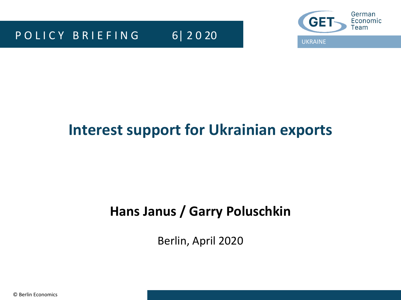



# **Interest support for Ukrainian exports**

### **Hans Janus / Garry Poluschkin**

Berlin, April 2020

© Berlin Economics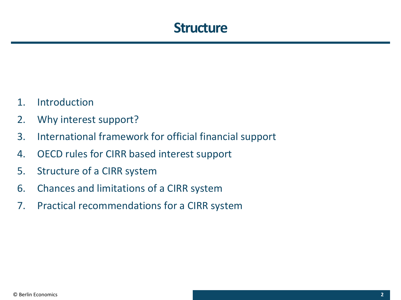### **Structure**

- 1. Introduction
- 2. Why interest support?
- 3. International framework for official financial support
- 4. OECD rules for CIRR based interest support
- 5. Structure of a CIRR system
- 6. Chances and limitations of a CIRR system
- 7. Practical recommendations for a CIRR system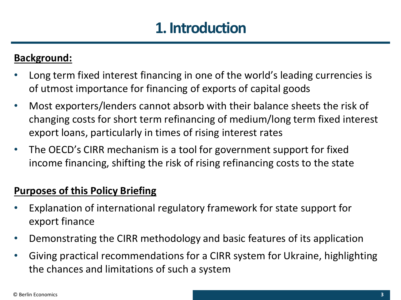# **1. Introduction**

#### **Background:**

- Long term fixed interest financing in one of the world's leading currencies is of utmost importance for financing of exports of capital goods
- Most exporters/lenders cannot absorb with their balance sheets the risk of changing costs for short term refinancing of medium/long term fixed interest export loans, particularly in times of rising interest rates
- The OECD's CIRR mechanism is a tool for government support for fixed income financing, shifting the risk of rising refinancing costs to the state

#### **Purposes of this Policy Briefing**

- Explanation of international regulatory framework for state support for export finance
- Demonstrating the CIRR methodology and basic features of its application
- Giving practical recommendations for a CIRR system for Ukraine, highlighting the chances and limitations of such a system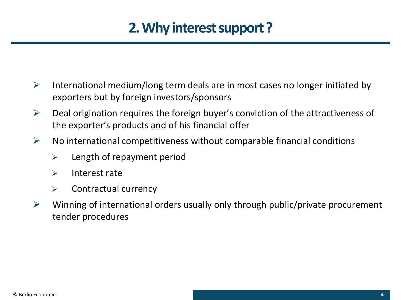## **2. Why interest support ?**

- $\triangleright$  International medium/long term deals are in most cases no longer initiated by exporters but by foreign investors/sponsors
- $\triangleright$  Deal origination requires the foreign buyer's conviction of the attractiveness of the exporter's products and of his financial offer
- $\triangleright$  No international competitiveness without comparable financial conditions
	- $\triangleright$  Length of repayment period
	- ➢ Interest rate
	- ➢ Contractual currency
- $\triangleright$  Winning of international orders usually only through public/private procurement tender procedures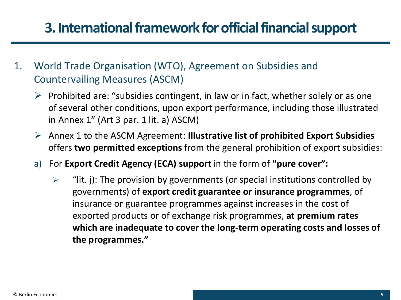## **3. International framework for official financial support**

- 1. World Trade Organisation (WTO), Agreement on Subsidies and Countervailing Measures (ASCM)
	- $\triangleright$  Prohibited are: "subsidies contingent, in law or in fact, whether solely or as one of several other conditions, upon export performance, including those illustrated in Annex 1" (Art 3 par. 1 lit. a) ASCM)
	- ➢ Annex 1 to the ASCM Agreement: **Illustrative list of prohibited Export Subsidies** offers **two permitted exceptions** from the general prohibition of export subsidies:
	- a) For **Export Credit Agency (ECA) support** in the form of **"pure cover":**
		- $\triangleright$  "lit. j): The provision by governments (or special institutions controlled by governments) of **export credit guarantee or insurance programmes**, of insurance or guarantee programmes against increases in the cost of exported products or of exchange risk programmes, **at premium rates which are inadequate to cover the long-term operating costs and losses of the programmes."**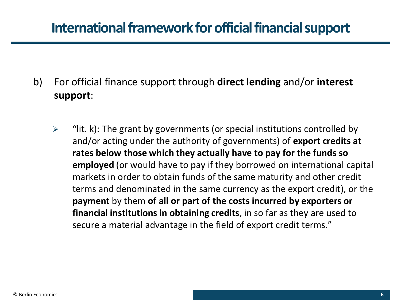### **International framework for official financial support**

- b) For official finance support through **direct lending** and/or **interest support**:
	- $\triangleright$  "lit. k): The grant by governments (or special institutions controlled by and/or acting under the authority of governments) of **export credits at rates below those which they actually have to pay for the funds so employed** (or would have to pay if they borrowed on international capital markets in order to obtain funds of the same maturity and other credit terms and denominated in the same currency as the export credit), or the **payment** by them **of all or part of the costs incurred by exporters or financial institutions in obtaining credits**, in so far as they are used to secure a material advantage in the field of export credit terms."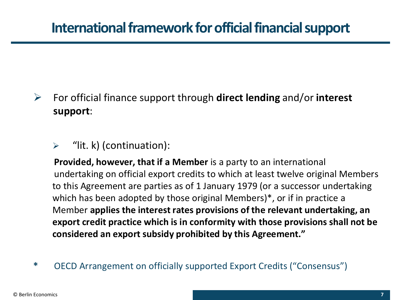### **International framework for official financial support**

➢ For official finance support through **direct lending** and/or **interest support**:

#### $\triangleright$  "lit. k) (continuation):

**Provided, however, that if a Member** is a party to an international undertaking on official export credits to which at least twelve original Members to this Agreement are parties as of 1 January 1979 (or a successor undertaking which has been adopted by those original Members)\*, or if in practice a Member **applies the interest rates provisions of the relevant undertaking, an export credit practice which is in conformity with those provisions shall not be considered an export subsidy prohibited by this Agreement."**

**\*** OECD Arrangement on officially supported Export Credits ("Consensus")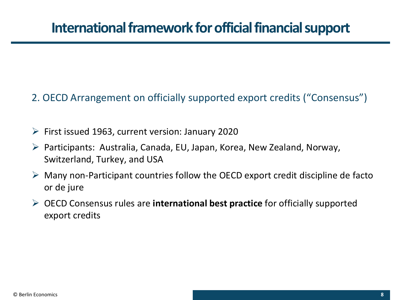### 2. OECD Arrangement on officially supported export credits ("Consensus")

- $\triangleright$  First issued 1963, current version: January 2020
- ➢ Participants: Australia, Canada, EU, Japan, Korea, New Zealand, Norway, Switzerland, Turkey, and USA
- $\triangleright$  Many non-Participant countries follow the OECD export credit discipline de facto or de jure
- ➢ OECD Consensus rules are **international best practice** for officially supported export credits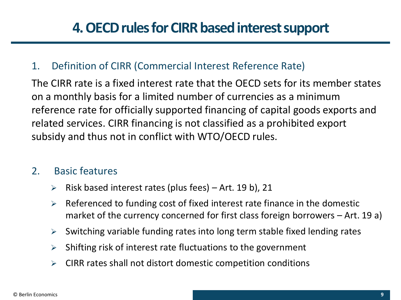#### 1. Definition of CIRR (Commercial Interest Reference Rate)

The CIRR rate is a fixed interest rate that the OECD sets for its member states on a monthly basis for a limited number of currencies as a minimum reference rate for officially supported financing of capital goods exports and related services. CIRR financing is not classified as a prohibited export subsidy and thus not in conflict with WTO/OECD rules.

#### 2. Basic features

- $\triangleright$  Risk based interest rates (plus fees) Art. 19 b), 21
- $\triangleright$  Referenced to funding cost of fixed interest rate finance in the domestic market of the currency concerned for first class foreign borrowers – Art. 19 a)
- $\triangleright$  Switching variable funding rates into long term stable fixed lending rates
- $\triangleright$  Shifting risk of interest rate fluctuations to the government
- $\triangleright$  CIRR rates shall not distort domestic competition conditions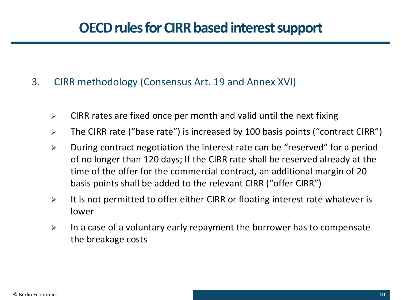### **OECD rules for CIRR based interest support**

- 3. CIRR methodology (Consensus Art. 19 and Annex XVI)
	- $\triangleright$  CIRR rates are fixed once per month and valid until the next fixing
	- $\triangleright$  The CIRR rate ("base rate") is increased by 100 basis points ("contract CIRR")
	- $\triangleright$  During contract negotiation the interest rate can be "reserved" for a period of no longer than 120 days; If the CIRR rate shall be reserved already at the time of the offer for the commercial contract, an additional margin of 20 basis points shall be added to the relevant CIRR ("offer CIRR")
	- $\triangleright$  It is not permitted to offer either CIRR or floating interest rate whatever is lower
	- $\triangleright$  In a case of a voluntary early repayment the borrower has to compensate the breakage costs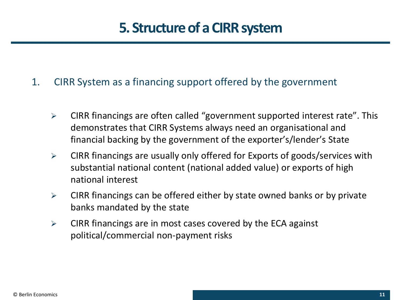### **5. Structure of a CIRR system**

- 1. CIRR System as a financing support offered by the government
	- $\triangleright$  CIRR financings are often called "government supported interest rate". This demonstrates that CIRR Systems always need an organisational and financial backing by the government of the exporter's/lender's State
	- $\triangleright$  CIRR financings are usually only offered for Exports of goods/services with substantial national content (national added value) or exports of high national interest
	- ➢ CIRR financings can be offered either by state owned banks or by private banks mandated by the state
	- $\triangleright$  CIRR financings are in most cases covered by the ECA against political/commercial non-payment risks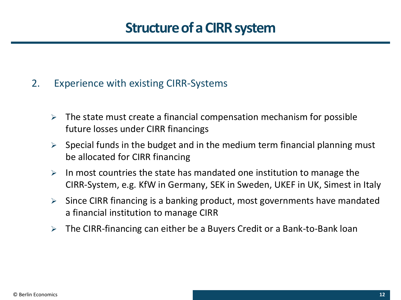### **Structure of a CIRR system**

- 2. Experience with existing CIRR-Systems
	- $\triangleright$  The state must create a financial compensation mechanism for possible future losses under CIRR financings
	- ➢ Special funds in the budget and in the medium term financial planning must be allocated for CIRR financing
	- $\triangleright$  In most countries the state has mandated one institution to manage the CIRR-System, e.g. KfW in Germany, SEK in Sweden, UKEF in UK, Simest in Italy
	- ➢ Since CIRR financing is a banking product, most governments have mandated a financial institution to manage CIRR
	- ➢ The CIRR-financing can either be a Buyers Credit or a Bank-to-Bank loan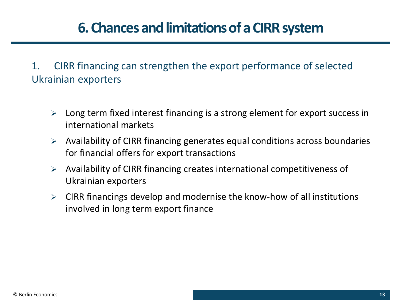## **6. Chances and limitations of a CIRR system**

1. CIRR financing can strengthen the export performance of selected Ukrainian exporters

- $\triangleright$  Long term fixed interest financing is a strong element for export success in international markets
- ➢ Availability of CIRR financing generates equal conditions across boundaries for financial offers for export transactions
- ➢ Availability of CIRR financing creates international competitiveness of Ukrainian exporters
- $\triangleright$  CIRR financings develop and modernise the know-how of all institutions involved in long term export finance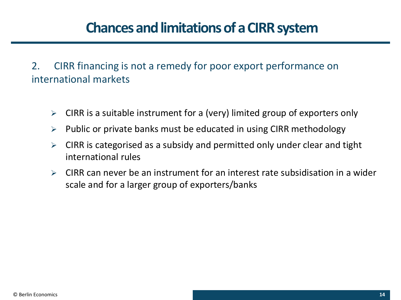### **Chances and limitations of a CIRR system**

2. CIRR financing is not a remedy for poor export performance on international markets

- ➢ CIRR is a suitable instrument for a (very) limited group of exporters only
- ➢ Public or private banks must be educated in using CIRR methodology
- $\triangleright$  CIRR is categorised as a subsidy and permitted only under clear and tight international rules
- $\triangleright$  CIRR can never be an instrument for an interest rate subsidisation in a wider scale and for a larger group of exporters/banks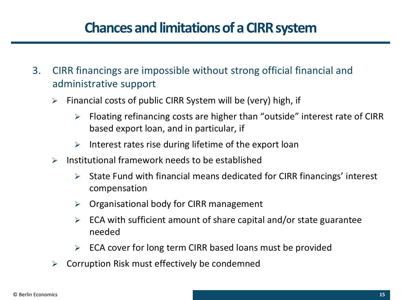### **Chances and limitations of a CIRR system**

- 3. CIRR financings are impossible without strong official financial and administrative support
	- ➢ Financial costs of public CIRR System will be (very) high, if
		- $\triangleright$  Floating refinancing costs are higher than "outside" interest rate of CIRR based export loan, and in particular, if
		- $\triangleright$  Interest rates rise during lifetime of the export loan
	- $\triangleright$  Institutional framework needs to be established
		- ➢ State Fund with financial means dedicated for CIRR financings' interest compensation
		- ➢ Organisational body for CIRR management
		- $\triangleright$  ECA with sufficient amount of share capital and/or state guarantee needed
		- $\triangleright$  ECA cover for long term CIRR based loans must be provided
	- ➢ Corruption Risk must effectively be condemned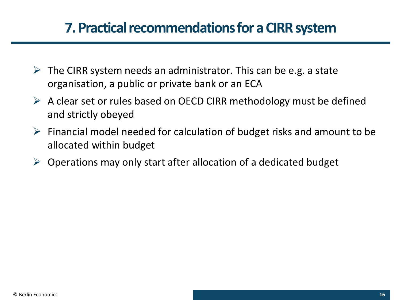### **7. Practical recommendations for a CIRR system**

- $\triangleright$  The CIRR system needs an administrator. This can be e.g. a state organisation, a public or private bank or an ECA
- $\triangleright$  A clear set or rules based on OECD CIRR methodology must be defined and strictly obeyed
- $\triangleright$  Financial model needed for calculation of budget risks and amount to be allocated within budget
- $\triangleright$  Operations may only start after allocation of a dedicated budget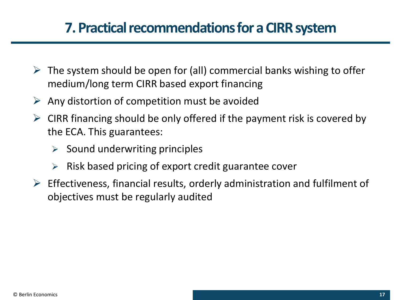### **7. Practical recommendations for a CIRR system**

- $\triangleright$  The system should be open for (all) commercial banks wishing to offer medium/long term CIRR based export financing
- $\triangleright$  Any distortion of competition must be avoided
- $\triangleright$  CIRR financing should be only offered if the payment risk is covered by the ECA. This guarantees:
	- $\triangleright$  Sound underwriting principles
	- ➢ Risk based pricing of export credit guarantee cover
- $\triangleright$  Effectiveness, financial results, orderly administration and fulfilment of objectives must be regularly audited